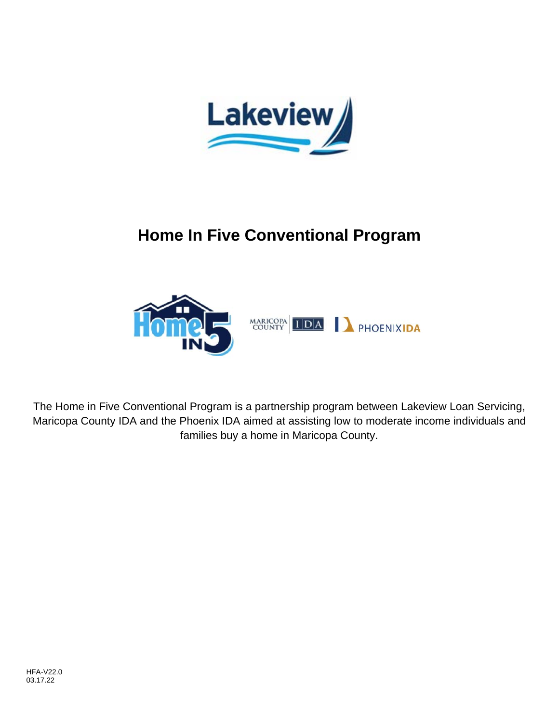



The Home in Five Conventional Program is a partnership program between Lakeview Loan Servicing, Maricopa County IDA and the Phoenix IDA aimed at assisting low to moderate income individuals and families buy a home in Maricopa County.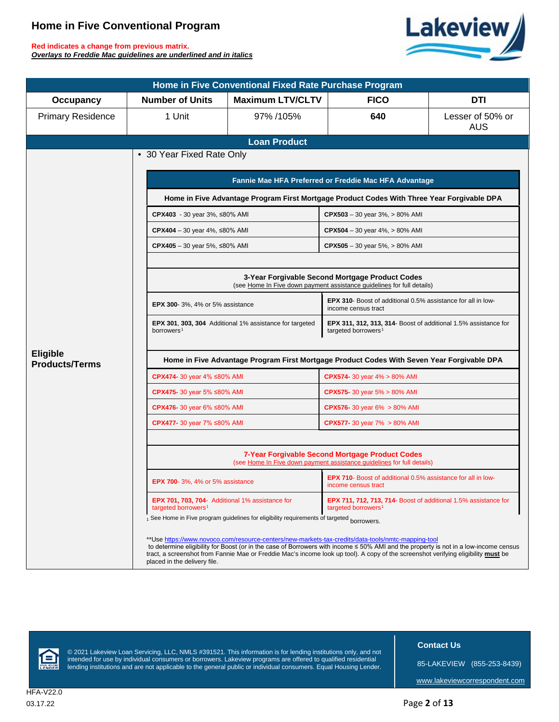**Red indicates a change from previous matrix.** *Overlays to Freddie Mac guidelines are underlined and in italics*



| Home in Five Conventional Fixed Rate Purchase Program |                                                                                                                           |                                                                |                                                                                                                                                                                                                                                                           |                                |  |  |  |
|-------------------------------------------------------|---------------------------------------------------------------------------------------------------------------------------|----------------------------------------------------------------|---------------------------------------------------------------------------------------------------------------------------------------------------------------------------------------------------------------------------------------------------------------------------|--------------------------------|--|--|--|
| <b>Occupancy</b>                                      | <b>Number of Units</b>                                                                                                    | <b>Maximum LTV/CLTV</b>                                        | <b>FICO</b>                                                                                                                                                                                                                                                               | <b>DTI</b>                     |  |  |  |
| <b>Primary Residence</b>                              | 1 Unit                                                                                                                    | 97% /105%                                                      | 640                                                                                                                                                                                                                                                                       | Lesser of 50% or<br><b>AUS</b> |  |  |  |
|                                                       |                                                                                                                           | <b>Loan Product</b>                                            |                                                                                                                                                                                                                                                                           |                                |  |  |  |
|                                                       | • 30 Year Fixed Rate Only                                                                                                 |                                                                |                                                                                                                                                                                                                                                                           |                                |  |  |  |
|                                                       | Fannie Mae HFA Preferred or Freddie Mac HFA Advantage                                                                     |                                                                |                                                                                                                                                                                                                                                                           |                                |  |  |  |
|                                                       |                                                                                                                           |                                                                | Home in Five Advantage Program First Mortgage Product Codes With Three Year Forgivable DPA                                                                                                                                                                                |                                |  |  |  |
|                                                       | CPX403 - 30 year 3%, ≤80% AMI                                                                                             |                                                                | $CPX503 - 30$ year $3\%$ , $> 80\%$ AMI                                                                                                                                                                                                                                   |                                |  |  |  |
|                                                       | CPX404 – 30 year 4%, ≤80% AMI                                                                                             |                                                                | <b>CPX504</b> – 30 year 4%, $> 80\%$ AMI                                                                                                                                                                                                                                  |                                |  |  |  |
|                                                       | CPX405 – 30 year 5%, ≤80% AMI                                                                                             |                                                                | $CPX505 - 30$ year 5%, $> 80\%$ AMI                                                                                                                                                                                                                                       |                                |  |  |  |
|                                                       |                                                                                                                           |                                                                |                                                                                                                                                                                                                                                                           |                                |  |  |  |
|                                                       | 3-Year Forgivable Second Mortgage Product Codes<br>(see Home In Five down payment assistance guidelines for full details) |                                                                |                                                                                                                                                                                                                                                                           |                                |  |  |  |
|                                                       | <b>EPX 300-</b> 3%, 4% or 5% assistance                                                                                   |                                                                | <b>EPX 310-</b> Boost of additional 0.5% assistance for all in low-<br>income census tract                                                                                                                                                                                |                                |  |  |  |
|                                                       | borrowers <sup>1</sup>                                                                                                    | <b>EPX 301, 303, 304</b> Additional 1% assistance for targeted | <b>EPX 311, 312, 313, 314-</b> Boost of additional 1.5% assistance for<br>targeted borrowers <sup>1</sup>                                                                                                                                                                 |                                |  |  |  |
| <b>Eligible</b><br><b>Products/Terms</b>              | Home in Five Advantage Program First Mortgage Product Codes With Seven Year Forgivable DPA                                |                                                                |                                                                                                                                                                                                                                                                           |                                |  |  |  |
|                                                       | CPX474- 30 year 4% ≤80% AMI                                                                                               |                                                                | CPX574- 30 year 4% > 80% AMI                                                                                                                                                                                                                                              |                                |  |  |  |
|                                                       | CPX475- 30 year 5% ≤80% AMI                                                                                               |                                                                | <b>CPX575-</b> 30 year 5% $> 80\%$ AMI                                                                                                                                                                                                                                    |                                |  |  |  |
|                                                       | <b>CPX476-</b> 30 year 6% ≤80% AMI                                                                                        |                                                                | <b>CPX576-</b> 30 year $6\% > 80\%$ AMI                                                                                                                                                                                                                                   |                                |  |  |  |
|                                                       | CPX477- 30 year 7% ≤80% AMI                                                                                               |                                                                | <b>CPX577-</b> 30 year $7\% > 80\%$ AMI                                                                                                                                                                                                                                   |                                |  |  |  |
|                                                       |                                                                                                                           |                                                                |                                                                                                                                                                                                                                                                           |                                |  |  |  |
|                                                       | 7-Year Forgivable Second Mortgage Product Codes<br>(see Home In Five down payment assistance guidelines for full details) |                                                                |                                                                                                                                                                                                                                                                           |                                |  |  |  |
|                                                       | <b>EPX 700-</b> 3%, 4% or 5% assistance                                                                                   |                                                                | <b>EPX 710-</b> Boost of additional 0.5% assistance for all in low-<br>income census tract                                                                                                                                                                                |                                |  |  |  |
|                                                       | EPX 701, 703, 704- Additional 1% assistance for<br>targeted borrowers                                                     |                                                                | EPX 711, 712, 713, 714- Boost of additional 1.5% assistance for<br>targeted borrowers                                                                                                                                                                                     |                                |  |  |  |
|                                                       | 1 See Home in Five program guidelines for eligibility requirements of targeted borrowers.                                 |                                                                |                                                                                                                                                                                                                                                                           |                                |  |  |  |
|                                                       | **Use https://www.novoco.com/resource-centers/new-markets-tax-credits/data-tools/nmtc-mapping-tool                        |                                                                |                                                                                                                                                                                                                                                                           |                                |  |  |  |
|                                                       | placed in the delivery file.                                                                                              |                                                                | to determine eligibility for Boost (or in the case of Borrowers with income ≤ 50% AMI and the property is not in a low-income census<br>tract, a screenshot from Fannie Mae or Freddie Mac's income look up tool). A copy of the screenshot verifying eligibility must be |                                |  |  |  |

<span id="page-1-3"></span><span id="page-1-2"></span><span id="page-1-1"></span><span id="page-1-0"></span>

© 2021 Lakeview Loan Servicing, LLC, NMLS #391521. This information is for lending institutions only, and not intended for use by individual consumers or borrowers. Lakeview programs are offered to qualified residential lending institutions and are not applicable to the general public or individual consumers. Equal Housing Lender.  **Contact Us**

85-LAKEVIEW (855-253-8439)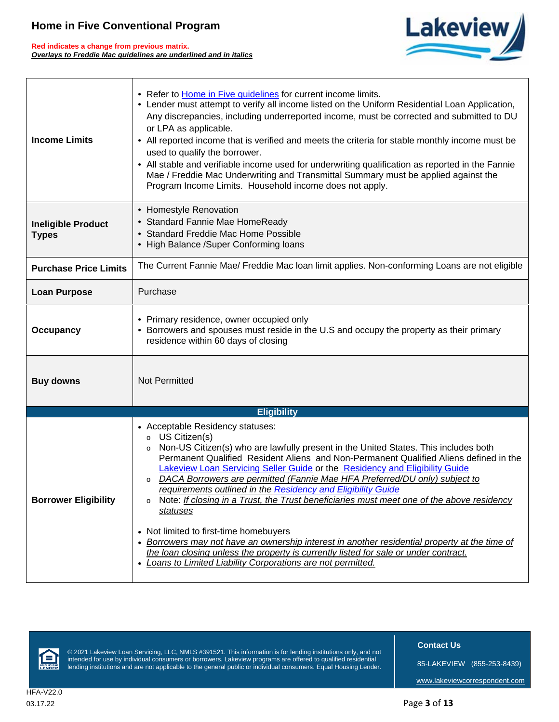**Red indicates a change from previous matrix.** *Overlays to Freddie Mac guidelines are underlined and in italics*



| <b>Income Limits</b>                      | • Refer to <b>Home in Five guidelines</b> for current income limits.<br>• Lender must attempt to verify all income listed on the Uniform Residential Loan Application,<br>Any discrepancies, including underreported income, must be corrected and submitted to DU<br>or LPA as applicable.<br>• All reported income that is verified and meets the criteria for stable monthly income must be<br>used to qualify the borrower.<br>All stable and verifiable income used for underwriting qualification as reported in the Fannie<br>Mae / Freddie Mac Underwriting and Transmittal Summary must be applied against the<br>Program Income Limits. Household income does not apply.                                                                                                                                                                                                   |  |  |  |
|-------------------------------------------|--------------------------------------------------------------------------------------------------------------------------------------------------------------------------------------------------------------------------------------------------------------------------------------------------------------------------------------------------------------------------------------------------------------------------------------------------------------------------------------------------------------------------------------------------------------------------------------------------------------------------------------------------------------------------------------------------------------------------------------------------------------------------------------------------------------------------------------------------------------------------------------|--|--|--|
| <b>Ineligible Product</b><br><b>Types</b> | • Homestyle Renovation<br>• Standard Fannie Mae HomeReady<br><b>Standard Freddie Mac Home Possible</b><br>• High Balance / Super Conforming loans                                                                                                                                                                                                                                                                                                                                                                                                                                                                                                                                                                                                                                                                                                                                    |  |  |  |
| <b>Purchase Price Limits</b>              | The Current Fannie Mae/ Freddie Mac Ioan limit applies. Non-conforming Loans are not eligible                                                                                                                                                                                                                                                                                                                                                                                                                                                                                                                                                                                                                                                                                                                                                                                        |  |  |  |
| <b>Loan Purpose</b>                       | Purchase                                                                                                                                                                                                                                                                                                                                                                                                                                                                                                                                                                                                                                                                                                                                                                                                                                                                             |  |  |  |
| Occupancy                                 | • Primary residence, owner occupied only<br>Borrowers and spouses must reside in the U.S and occupy the property as their primary<br>$\bullet$<br>residence within 60 days of closing                                                                                                                                                                                                                                                                                                                                                                                                                                                                                                                                                                                                                                                                                                |  |  |  |
| <b>Buy downs</b>                          | Not Permitted                                                                                                                                                                                                                                                                                                                                                                                                                                                                                                                                                                                                                                                                                                                                                                                                                                                                        |  |  |  |
|                                           | <b>Eligibility</b>                                                                                                                                                                                                                                                                                                                                                                                                                                                                                                                                                                                                                                                                                                                                                                                                                                                                   |  |  |  |
| <b>Borrower Eligibility</b>               | • Acceptable Residency statuses:<br>o US Citizen(s)<br>Non-US Citizen(s) who are lawfully present in the United States. This includes both<br>o<br>Permanent Qualified Resident Aliens and Non-Permanent Qualified Aliens defined in the<br>Lakeview Loan Servicing Seller Guide or the Residency and Eligibility Guide<br>DACA Borrowers are permitted (Fannie Mae HFA Preferred/DU only) subject to<br>requirements outlined in the Residency and Eligibility Guide<br>Note: If closing in a Trust, the Trust beneficiaries must meet one of the above residency<br>0<br>statuses<br>• Not limited to first-time homebuyers<br>Borrowers may not have an ownership interest in another residential property at the time of<br>the loan closing unless the property is currently listed for sale or under contract.<br>• Loans to Limited Liability Corporations are not permitted. |  |  |  |



© 2021 Lakeview Loan Servicing, LLC, NMLS #391521. This information is for lending institutions only, and not intended for use by individual consumers or borrowers. Lakeview programs are offered to qualified residential lending institutions and are not applicable to the general public or individual consumers. Equal Housing Lender.  **Contact Us**

85-LAKEVIEW (855-253-8439)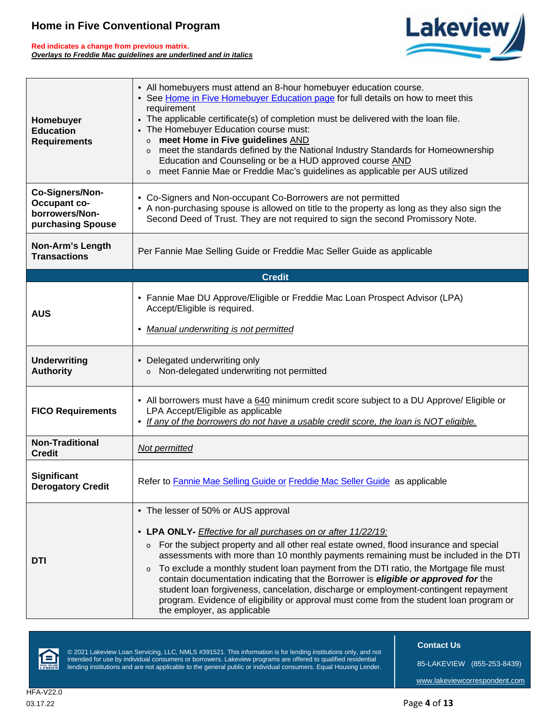**Red indicates a change from previous matrix.** *Overlays to Freddie Mac guidelines are underlined and in italics*



| Homebuyer<br><b>Education</b><br><b>Requirements</b>                          | • All homebuyers must attend an 8-hour homebuyer education course.<br>• See Home in Five Homebuyer Education page for full details on how to meet this<br>requirement<br>• The applicable certificate(s) of completion must be delivered with the loan file.<br>• The Homebuyer Education course must:<br>o meet Home in Five guidelines AND<br>o meet the standards defined by the National Industry Standards for Homeownership<br>Education and Counseling or be a HUD approved course AND<br>o meet Fannie Mae or Freddie Mac's guidelines as applicable per AUS utilized                                                                                                                          |  |  |  |
|-------------------------------------------------------------------------------|--------------------------------------------------------------------------------------------------------------------------------------------------------------------------------------------------------------------------------------------------------------------------------------------------------------------------------------------------------------------------------------------------------------------------------------------------------------------------------------------------------------------------------------------------------------------------------------------------------------------------------------------------------------------------------------------------------|--|--|--|
| Co-Signers/Non-<br><b>Occupant co-</b><br>borrowers/Non-<br>purchasing Spouse | • Co-Signers and Non-occupant Co-Borrowers are not permitted<br>• A non-purchasing spouse is allowed on title to the property as long as they also sign the<br>Second Deed of Trust. They are not required to sign the second Promissory Note.                                                                                                                                                                                                                                                                                                                                                                                                                                                         |  |  |  |
| <b>Non-Arm's Length</b><br><b>Transactions</b>                                | Per Fannie Mae Selling Guide or Freddie Mac Seller Guide as applicable                                                                                                                                                                                                                                                                                                                                                                                                                                                                                                                                                                                                                                 |  |  |  |
|                                                                               | <b>Credit</b>                                                                                                                                                                                                                                                                                                                                                                                                                                                                                                                                                                                                                                                                                          |  |  |  |
| <b>AUS</b>                                                                    | • Fannie Mae DU Approve/Eligible or Freddie Mac Loan Prospect Advisor (LPA)<br>Accept/Eligible is required.<br>• Manual underwriting is not permitted                                                                                                                                                                                                                                                                                                                                                                                                                                                                                                                                                  |  |  |  |
| <b>Underwriting</b><br><b>Authority</b>                                       | • Delegated underwriting only<br>o Non-delegated underwriting not permitted                                                                                                                                                                                                                                                                                                                                                                                                                                                                                                                                                                                                                            |  |  |  |
| <b>FICO Requirements</b>                                                      | • All borrowers must have a 640 minimum credit score subject to a DU Approve/ Eligible or<br>LPA Accept/Eligible as applicable<br>• If any of the borrowers do not have a usable credit score, the loan is NOT eligible.                                                                                                                                                                                                                                                                                                                                                                                                                                                                               |  |  |  |
| <b>Non-Traditional</b><br><b>Credit</b>                                       | Not permitted                                                                                                                                                                                                                                                                                                                                                                                                                                                                                                                                                                                                                                                                                          |  |  |  |
| <b>Significant</b><br><b>Derogatory Credit</b>                                | Refer to Fannie Mae Selling Guide or Freddie Mac Seller Guide as applicable                                                                                                                                                                                                                                                                                                                                                                                                                                                                                                                                                                                                                            |  |  |  |
| <b>DTI</b>                                                                    | • The lesser of 50% or AUS approval<br>• LPA ONLY- Effective for all purchases on or after 11/22/19:<br>o For the subject property and all other real estate owned, flood insurance and special<br>assessments with more than 10 monthly payments remaining must be included in the DTI<br>To exclude a monthly student loan payment from the DTI ratio, the Mortgage file must<br>$\mathsf{o}$<br>contain documentation indicating that the Borrower is eligible or approved for the<br>student loan forgiveness, cancelation, discharge or employment-contingent repayment<br>program. Evidence of eligibility or approval must come from the student loan program or<br>the employer, as applicable |  |  |  |



© 2021 Lakeview Loan Servicing, LLC, NMLS #391521. This information is for lending institutions only, and not intended for use by individual consumers or borrowers. Lakeview programs are offered to qualified residential lending institutions and are not applicable to the general public or individual consumers. Equal Housing Lender.  **Contact Us**

85-LAKEVIEW (855-253-8439)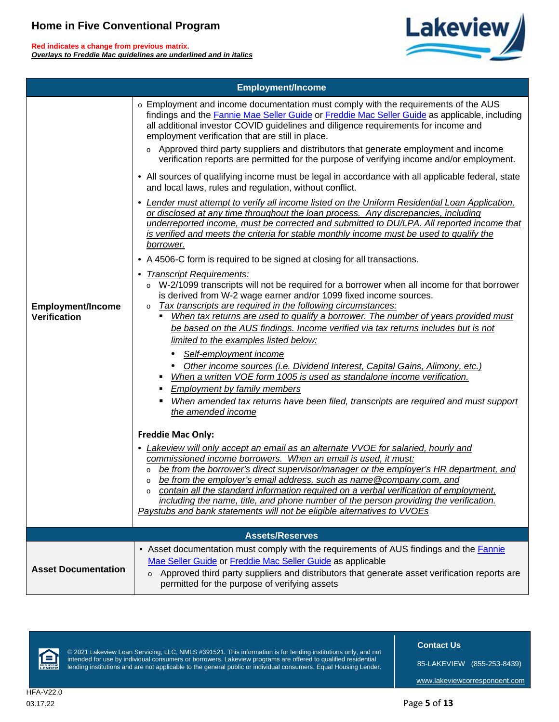**Red indicates a change from previous matrix.** *Overlays to Freddie Mac guidelines are underlined and in italics*



|                                                 | <b>Employment/Income</b>                                                                                                                                                                                                                                                                                                                                                                                                                                                                                                                                                                          |
|-------------------------------------------------|---------------------------------------------------------------------------------------------------------------------------------------------------------------------------------------------------------------------------------------------------------------------------------------------------------------------------------------------------------------------------------------------------------------------------------------------------------------------------------------------------------------------------------------------------------------------------------------------------|
|                                                 | o Employment and income documentation must comply with the requirements of the AUS<br>findings and the Fannie Mae Seller Guide or Freddie Mac Seller Guide as applicable, including<br>all additional investor COVID guidelines and diligence requirements for income and<br>employment verification that are still in place.                                                                                                                                                                                                                                                                     |
|                                                 | o Approved third party suppliers and distributors that generate employment and income<br>verification reports are permitted for the purpose of verifying income and/or employment.                                                                                                                                                                                                                                                                                                                                                                                                                |
|                                                 | • All sources of qualifying income must be legal in accordance with all applicable federal, state<br>and local laws, rules and regulation, without conflict.                                                                                                                                                                                                                                                                                                                                                                                                                                      |
|                                                 | • Lender must attempt to verify all income listed on the Uniform Residential Loan Application,<br>or disclosed at any time throughout the loan process. Any discrepancies, including<br>underreported income, must be corrected and submitted to DU/LPA. All reported income that<br>is verified and meets the criteria for stable monthly income must be used to qualify the<br>borrower.                                                                                                                                                                                                        |
|                                                 | • A 4506-C form is required to be signed at closing for all transactions.                                                                                                                                                                                                                                                                                                                                                                                                                                                                                                                         |
| <b>Employment/Income</b><br><b>Verification</b> | • Transcript Requirements:<br>o W-2/1099 transcripts will not be required for a borrower when all income for that borrower<br>is derived from W-2 wage earner and/or 1099 fixed income sources.<br>Tax transcripts are required in the following circumstances:<br>o<br>When tax returns are used to qualify a borrower. The number of years provided must<br>be based on the AUS findings. Income verified via tax returns includes but is not<br>limited to the examples listed below:                                                                                                          |
|                                                 | Self-employment income                                                                                                                                                                                                                                                                                                                                                                                                                                                                                                                                                                            |
|                                                 | Other income sources (i.e. Dividend Interest, Capital Gains, Alimony, etc.)<br>When a written VOE form 1005 is used as standalone income verification.<br><b>Employment by family members</b>                                                                                                                                                                                                                                                                                                                                                                                                     |
|                                                 | When amended tax returns have been filed, transcripts are required and must support<br>the amended income                                                                                                                                                                                                                                                                                                                                                                                                                                                                                         |
|                                                 | <b>Freddie Mac Only:</b>                                                                                                                                                                                                                                                                                                                                                                                                                                                                                                                                                                          |
|                                                 | • Lakeview will only accept an email as an alternate VVOE for salaried, hourly and<br>commissioned income borrowers. When an email is used, it must:<br>be from the borrower's direct supervisor/manager or the employer's HR department, and<br>be from the employer's email address, such as name@company.com, and<br>o<br>contain all the standard information required on a verbal verification of employment,<br>$\circ$<br>including the name, title, and phone number of the person providing the verification.<br>Paystubs and bank statements will not be eligible alternatives to VVOEs |
|                                                 | <b>Assets/Reserves</b>                                                                                                                                                                                                                                                                                                                                                                                                                                                                                                                                                                            |
| <b>Asset Documentation</b>                      | • Asset documentation must comply with the requirements of AUS findings and the <b>Fannie</b><br>Mae Seller Guide or Freddie Mac Seller Guide as applicable<br>Approved third party suppliers and distributors that generate asset verification reports are<br>$\mathsf{o}$<br>permitted for the purpose of verifying assets                                                                                                                                                                                                                                                                      |



© 2021 Lakeview Loan Servicing, LLC, NMLS #391521. This information is for lending institutions only, and not intended for use by individual consumers or borrowers. Lakeview programs are offered to qualified residential lending institutions and are not applicable to the general public or individual consumers. Equal Housing Lender.  **Contact Us**

85-LAKEVIEW (855-253-8439)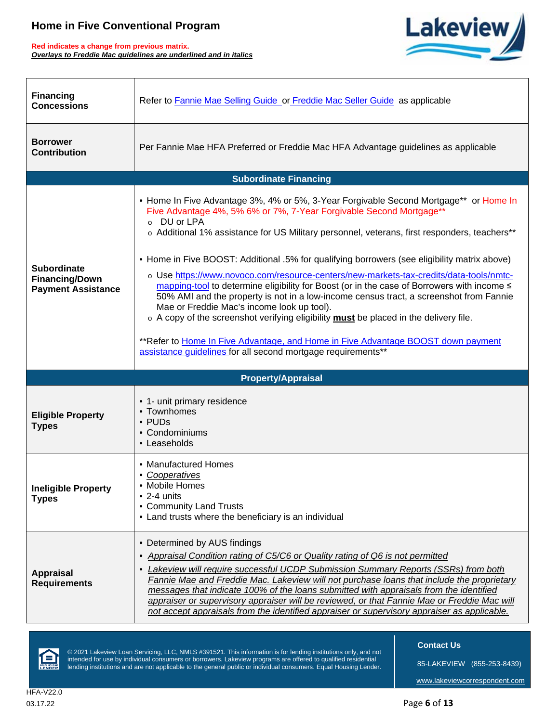**Red indicates a change from previous matrix.** *Overlays to Freddie Mac guidelines are underlined and in italics*



| <b>Financing</b><br><b>Concessions</b>                                   | Refer to Fannie Mae Selling Guide or Freddie Mac Seller Guide as applicable                                                                                                                                                                                                                                                                                                                                                                                                                                                                                                                         |
|--------------------------------------------------------------------------|-----------------------------------------------------------------------------------------------------------------------------------------------------------------------------------------------------------------------------------------------------------------------------------------------------------------------------------------------------------------------------------------------------------------------------------------------------------------------------------------------------------------------------------------------------------------------------------------------------|
| <b>Borrower</b><br><b>Contribution</b>                                   | Per Fannie Mae HFA Preferred or Freddie Mac HFA Advantage guidelines as applicable                                                                                                                                                                                                                                                                                                                                                                                                                                                                                                                  |
|                                                                          | <b>Subordinate Financing</b>                                                                                                                                                                                                                                                                                                                                                                                                                                                                                                                                                                        |
| <b>Subordinate</b><br><b>Financing/Down</b><br><b>Payment Assistance</b> | • Home In Five Advantage 3%, 4% or 5%, 3-Year Forgivable Second Mortgage** or Home In<br>Five Advantage 4%, 5% 6% or 7%, 7-Year Forgivable Second Mortgage <sup>**</sup><br>o DU or LPA<br>o Additional 1% assistance for US Military personnel, veterans, first responders, teachers**<br>• Home in Five BOOST: Additional .5% for qualifying borrowers (see eligibility matrix above)<br>o Use https://www.novoco.com/resource-centers/new-markets-tax-credits/data-tools/nmtc-<br>mapping-tool to determine eligibility for Boost (or in the case of Borrowers with income ≤                     |
|                                                                          | 50% AMI and the property is not in a low-income census tract, a screenshot from Fannie<br>Mae or Freddie Mac's income look up tool).<br>o A copy of the screenshot verifying eligibility must be placed in the delivery file.                                                                                                                                                                                                                                                                                                                                                                       |
|                                                                          | **Refer to Home In Five Advantage, and Home in Five Advantage BOOST down payment<br>assistance guidelines for all second mortgage requirements**                                                                                                                                                                                                                                                                                                                                                                                                                                                    |
|                                                                          | <b>Property/Appraisal</b>                                                                                                                                                                                                                                                                                                                                                                                                                                                                                                                                                                           |
| <b>Eligible Property</b><br><b>Types</b>                                 | • 1- unit primary residence<br>• Townhomes<br>$\cdot$ PUDs<br>• Condominiums<br>• Leaseholds                                                                                                                                                                                                                                                                                                                                                                                                                                                                                                        |
| <b>Ineligible Property</b><br><b>Types</b>                               | • Manufactured Homes<br>• Cooperatives<br>• Mobile Homes<br>$\bullet$ 2-4 units<br>• Community Land Trusts<br>• Land trusts where the beneficiary is an individual                                                                                                                                                                                                                                                                                                                                                                                                                                  |
| <b>Appraisal</b><br><b>Requirements</b>                                  | • Determined by AUS findings<br>Appraisal Condition rating of C5/C6 or Quality rating of Q6 is not permitted<br>Lakeview will require successful UCDP Submission Summary Reports (SSRs) from both<br>$\bullet$<br>Fannie Mae and Freddie Mac. Lakeview will not purchase loans that include the proprietary<br>messages that indicate 100% of the loans submitted with appraisals from the identified<br>appraiser or supervisory appraiser will be reviewed, or that Fannie Mae or Freddie Mac will<br>not accept appraisals from the identified appraiser or supervisory appraiser as applicable. |



© 2021 Lakeview Loan Servicing, LLC, NMLS #391521. This information is for lending institutions only, and not intended for use by individual consumers or borrowers. Lakeview programs are offered to qualified residential lending institutions and are not applicable to the general public or individual consumers. Equal Housing Lender.  **Contact Us**

85-LAKEVIEW (855-253-8439)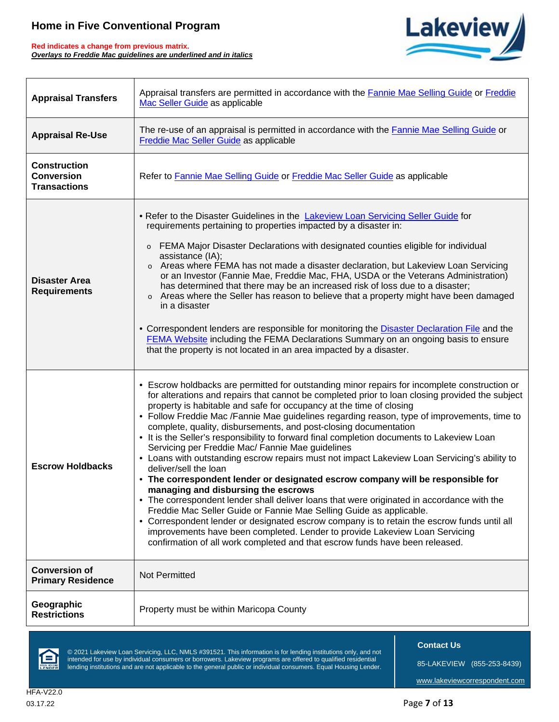**Red indicates a change from previous matrix.** *Overlays to Freddie Mac guidelines are underlined and in italics*



| <b>Appraisal Transfers</b>                                      | Appraisal transfers are permitted in accordance with the Fannie Mae Selling Guide or Freddie<br>Mac Seller Guide as applicable                                                                                                                                                                                                                                                                                                                                                                                                                                                                                                                                                                                                                                                                                                                                                                                                                                                                                                                                                                                                                                                                                                                                                     |  |  |
|-----------------------------------------------------------------|------------------------------------------------------------------------------------------------------------------------------------------------------------------------------------------------------------------------------------------------------------------------------------------------------------------------------------------------------------------------------------------------------------------------------------------------------------------------------------------------------------------------------------------------------------------------------------------------------------------------------------------------------------------------------------------------------------------------------------------------------------------------------------------------------------------------------------------------------------------------------------------------------------------------------------------------------------------------------------------------------------------------------------------------------------------------------------------------------------------------------------------------------------------------------------------------------------------------------------------------------------------------------------|--|--|
| <b>Appraisal Re-Use</b>                                         | The re-use of an appraisal is permitted in accordance with the <b>Fannie Mae Selling Guide</b> or<br>Freddie Mac Seller Guide as applicable                                                                                                                                                                                                                                                                                                                                                                                                                                                                                                                                                                                                                                                                                                                                                                                                                                                                                                                                                                                                                                                                                                                                        |  |  |
| <b>Construction</b><br><b>Conversion</b><br><b>Transactions</b> | Refer to Fannie Mae Selling Guide or Freddie Mac Seller Guide as applicable                                                                                                                                                                                                                                                                                                                                                                                                                                                                                                                                                                                                                                                                                                                                                                                                                                                                                                                                                                                                                                                                                                                                                                                                        |  |  |
| <b>Disaster Area</b><br><b>Requirements</b>                     | • Refer to the Disaster Guidelines in the Lakeview Loan Servicing Seller Guide for<br>requirements pertaining to properties impacted by a disaster in:<br>o FEMA Major Disaster Declarations with designated counties eligible for individual<br>assistance (IA);<br>o Areas where FEMA has not made a disaster declaration, but Lakeview Loan Servicing<br>or an Investor (Fannie Mae, Freddie Mac, FHA, USDA or the Veterans Administration)<br>has determined that there may be an increased risk of loss due to a disaster;<br>Areas where the Seller has reason to believe that a property might have been damaged<br>$\circ$<br>in a disaster<br>• Correspondent lenders are responsible for monitoring the Disaster Declaration File and the<br>FEMA Website including the FEMA Declarations Summary on an ongoing basis to ensure<br>that the property is not located in an area impacted by a disaster.                                                                                                                                                                                                                                                                                                                                                                   |  |  |
| <b>Escrow Holdbacks</b>                                         | • Escrow holdbacks are permitted for outstanding minor repairs for incomplete construction or<br>for alterations and repairs that cannot be completed prior to loan closing provided the subject<br>property is habitable and safe for occupancy at the time of closing<br>• Follow Freddie Mac /Fannie Mae guidelines regarding reason, type of improvements, time to<br>complete, quality, disbursements, and post-closing documentation<br>• It is the Seller's responsibility to forward final completion documents to Lakeview Loan<br>Servicing per Freddie Mac/ Fannie Mae guidelines<br>• Loans with outstanding escrow repairs must not impact Lakeview Loan Servicing's ability to<br>deliver/sell the loan<br>• The correspondent lender or designated escrow company will be responsible for<br>managing and disbursing the escrows<br>• The correspondent lender shall deliver loans that were originated in accordance with the<br>Freddie Mac Seller Guide or Fannie Mae Selling Guide as applicable.<br>• Correspondent lender or designated escrow company is to retain the escrow funds until all<br>improvements have been completed. Lender to provide Lakeview Loan Servicing<br>confirmation of all work completed and that escrow funds have been released. |  |  |
| <b>Conversion of</b><br><b>Primary Residence</b>                | <b>Not Permitted</b>                                                                                                                                                                                                                                                                                                                                                                                                                                                                                                                                                                                                                                                                                                                                                                                                                                                                                                                                                                                                                                                                                                                                                                                                                                                               |  |  |
| Geographic<br><b>Restrictions</b>                               | Property must be within Maricopa County                                                                                                                                                                                                                                                                                                                                                                                                                                                                                                                                                                                                                                                                                                                                                                                                                                                                                                                                                                                                                                                                                                                                                                                                                                            |  |  |



© 2021 Lakeview Loan Servicing, LLC, NMLS #391521. This information is for lending institutions only, and not intended for use by individual consumers or borrowers. Lakeview programs are offered to qualified residential lending institutions and are not applicable to the general public or individual consumers. Equal Housing Lender.  **Contact Us**

85-LAKEVIEW (855-253-8439)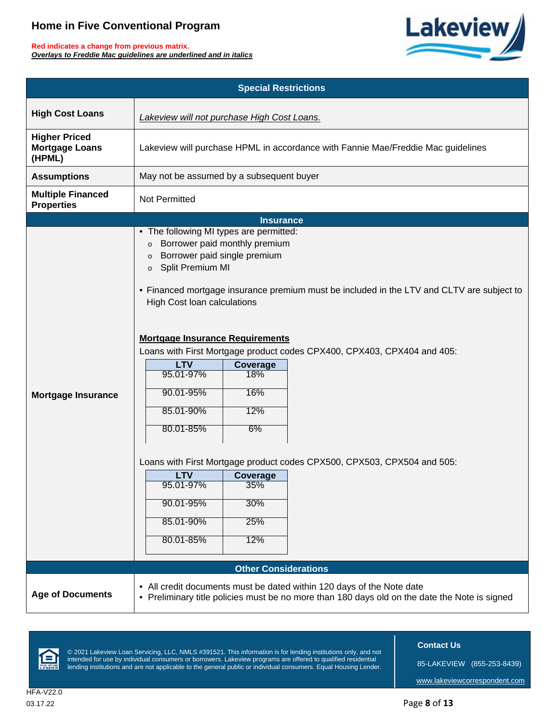**Red indicates a change from previous matrix.** *Overlays to Freddie Mac guidelines are underlined and in italics*



|                                                         | <b>Special Restrictions</b>                                                                                                                                                                                                                                                                                                                                                                                                                                                                                                                                                                      |  |  |  |  |  |
|---------------------------------------------------------|--------------------------------------------------------------------------------------------------------------------------------------------------------------------------------------------------------------------------------------------------------------------------------------------------------------------------------------------------------------------------------------------------------------------------------------------------------------------------------------------------------------------------------------------------------------------------------------------------|--|--|--|--|--|
| <b>High Cost Loans</b>                                  | Lakeview will not purchase High Cost Loans.                                                                                                                                                                                                                                                                                                                                                                                                                                                                                                                                                      |  |  |  |  |  |
| <b>Higher Priced</b><br><b>Mortgage Loans</b><br>(HPML) | Lakeview will purchase HPML in accordance with Fannie Mae/Freddie Mac guidelines                                                                                                                                                                                                                                                                                                                                                                                                                                                                                                                 |  |  |  |  |  |
| <b>Assumptions</b>                                      | May not be assumed by a subsequent buyer                                                                                                                                                                                                                                                                                                                                                                                                                                                                                                                                                         |  |  |  |  |  |
| <b>Multiple Financed</b><br><b>Properties</b>           | Not Permitted                                                                                                                                                                                                                                                                                                                                                                                                                                                                                                                                                                                    |  |  |  |  |  |
|                                                         | <b>Insurance</b>                                                                                                                                                                                                                                                                                                                                                                                                                                                                                                                                                                                 |  |  |  |  |  |
| <b>Mortgage Insurance</b>                               | • The following MI types are permitted:<br>Borrower paid monthly premium<br>$\circ$<br>Borrower paid single premium<br>$\circ$<br>o Split Premium MI<br>• Financed mortgage insurance premium must be included in the LTV and CLTV are subject to<br><b>High Cost loan calculations</b><br><b>Mortgage Insurance Requirements</b><br>Loans with First Mortgage product codes CPX400, CPX403, CPX404 and 405:<br><b>LTV</b><br>Coverage<br>95.01-97%<br>18%<br>16%<br>90.01-95%<br>85.01-90%<br>12%<br>80.01-85%<br>6%<br>Loans with First Mortgage product codes CPX500, CPX503, CPX504 and 505: |  |  |  |  |  |
|                                                         | <b>LTV</b><br><b>Coverage</b><br>95.01-97%<br>35%                                                                                                                                                                                                                                                                                                                                                                                                                                                                                                                                                |  |  |  |  |  |
|                                                         | 90.01-95%<br>30%                                                                                                                                                                                                                                                                                                                                                                                                                                                                                                                                                                                 |  |  |  |  |  |
|                                                         | 85.01-90%<br>25%                                                                                                                                                                                                                                                                                                                                                                                                                                                                                                                                                                                 |  |  |  |  |  |
|                                                         | 80.01-85%<br>12%                                                                                                                                                                                                                                                                                                                                                                                                                                                                                                                                                                                 |  |  |  |  |  |
|                                                         | <b>Other Considerations</b>                                                                                                                                                                                                                                                                                                                                                                                                                                                                                                                                                                      |  |  |  |  |  |
| <b>Age of Documents</b>                                 | • All credit documents must be dated within 120 days of the Note date<br>• Preliminary title policies must be no more than 180 days old on the date the Note is signed                                                                                                                                                                                                                                                                                                                                                                                                                           |  |  |  |  |  |



© 2021 Lakeview Loan Servicing, LLC, NMLS #391521. This information is for lending institutions only, and not intended for use by individual consumers or borrowers. Lakeview programs are offered to qualified residential lending institutions and are not applicable to the general public or individual consumers. Equal Housing Lender.  **Contact Us**

85-LAKEVIEW (855-253-8439)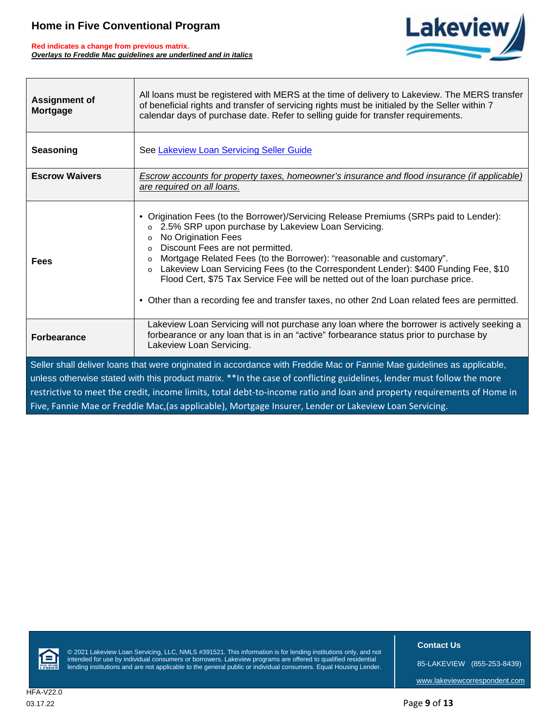$\sqrt{ }$ 

**Red indicates a change from previous matrix.** *Overlays to Freddie Mac guidelines are underlined and in italics*

П



| <b>Assignment of</b><br><b>Mortgage</b>                                                                                 | All loans must be registered with MERS at the time of delivery to Lakeview. The MERS transfer<br>of beneficial rights and transfer of servicing rights must be initialed by the Seller within 7<br>calendar days of purchase date. Refer to selling guide for transfer requirements.                                                                                                                                                                                                                                                                                                       |  |  |
|-------------------------------------------------------------------------------------------------------------------------|--------------------------------------------------------------------------------------------------------------------------------------------------------------------------------------------------------------------------------------------------------------------------------------------------------------------------------------------------------------------------------------------------------------------------------------------------------------------------------------------------------------------------------------------------------------------------------------------|--|--|
| Seasoning                                                                                                               | See Lakeview Loan Servicing Seller Guide                                                                                                                                                                                                                                                                                                                                                                                                                                                                                                                                                   |  |  |
| <b>Escrow Waivers</b>                                                                                                   | Escrow accounts for property taxes, homeowner's insurance and flood insurance (if applicable)<br>are required on all loans.                                                                                                                                                                                                                                                                                                                                                                                                                                                                |  |  |
| <b>Fees</b>                                                                                                             | • Origination Fees (to the Borrower)/Servicing Release Premiums (SRPs paid to Lender):<br>2.5% SRP upon purchase by Lakeview Loan Servicing.<br>o<br>No Origination Fees<br>o<br>Discount Fees are not permitted.<br>o<br>Mortgage Related Fees (to the Borrower): "reasonable and customary".<br>$\circ$<br>Lakeview Loan Servicing Fees (to the Correspondent Lender): \$400 Funding Fee, \$10<br>0<br>Flood Cert, \$75 Tax Service Fee will be netted out of the loan purchase price.<br>• Other than a recording fee and transfer taxes, no other 2nd Loan related fees are permitted. |  |  |
| <b>Forbearance</b>                                                                                                      | Lakeview Loan Servicing will not purchase any loan where the borrower is actively seeking a<br>forbearance or any loan that is in an "active" forbearance status prior to purchase by<br>Lakeview Loan Servicing.                                                                                                                                                                                                                                                                                                                                                                          |  |  |
| Seller shall deliver loans that were originated in accordance with Freddie Mac or Fannie Mae guidelines as applicable,  |                                                                                                                                                                                                                                                                                                                                                                                                                                                                                                                                                                                            |  |  |
| unless otherwise stated with this product matrix. ** In the case of conflicting guidelines, lender must follow the more |                                                                                                                                                                                                                                                                                                                                                                                                                                                                                                                                                                                            |  |  |
| restrictive to meet the credit, income limits, total debt-to-income ratio and loan and property requirements of Home in |                                                                                                                                                                                                                                                                                                                                                                                                                                                                                                                                                                                            |  |  |
| Five, Fannie Mae or Freddie Mac, (as applicable), Mortgage Insurer, Lender or Lakeview Loan Servicing.                  |                                                                                                                                                                                                                                                                                                                                                                                                                                                                                                                                                                                            |  |  |



© 2021 Lakeview Loan Servicing, LLC, NMLS #391521. This information is for lending institutions only, and not intended for use by individual consumers or borrowers. Lakeview programs are offered to qualified residential lending institutions and are not applicable to the general public or individual consumers. Equal Housing Lender.  **Contact Us**

85-LAKEVIEW (855-253-8439)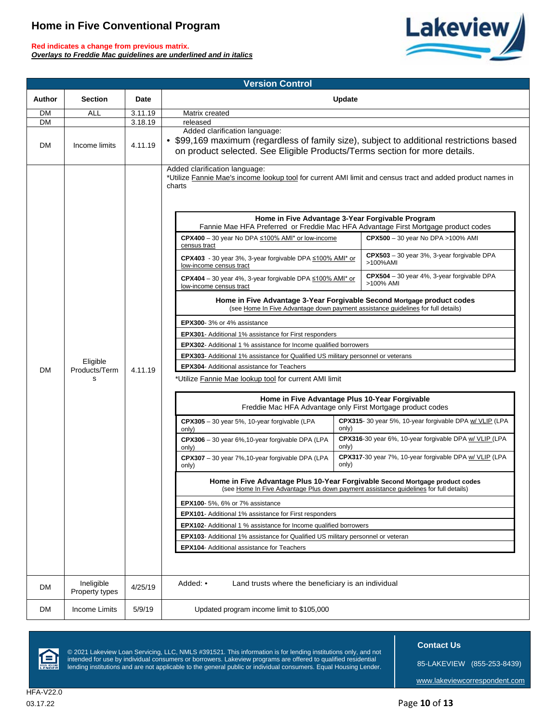**Red indicates a change from previous matrix.** *Overlays to Freddie Mac guidelines are underlined and in italics*



| <b>Version Control</b> |                                |                    |                                                                                                                                                                                                                                                                                                                                                                                                                                                                                                                                                                                                                                                                                                                                                                                                                                                                                                                                                                                                                                                                                                                                                                                                                                                                                                                                                                                                                                                                                                                                                                                                                                                                                                                                                                                                                                                                                                                                                                                                                                                                                                                                                                                                                                                                                    |  |
|------------------------|--------------------------------|--------------------|------------------------------------------------------------------------------------------------------------------------------------------------------------------------------------------------------------------------------------------------------------------------------------------------------------------------------------------------------------------------------------------------------------------------------------------------------------------------------------------------------------------------------------------------------------------------------------------------------------------------------------------------------------------------------------------------------------------------------------------------------------------------------------------------------------------------------------------------------------------------------------------------------------------------------------------------------------------------------------------------------------------------------------------------------------------------------------------------------------------------------------------------------------------------------------------------------------------------------------------------------------------------------------------------------------------------------------------------------------------------------------------------------------------------------------------------------------------------------------------------------------------------------------------------------------------------------------------------------------------------------------------------------------------------------------------------------------------------------------------------------------------------------------------------------------------------------------------------------------------------------------------------------------------------------------------------------------------------------------------------------------------------------------------------------------------------------------------------------------------------------------------------------------------------------------------------------------------------------------------------------------------------------------|--|
| Author                 | <b>Section</b>                 | Date               | Update                                                                                                                                                                                                                                                                                                                                                                                                                                                                                                                                                                                                                                                                                                                                                                                                                                                                                                                                                                                                                                                                                                                                                                                                                                                                                                                                                                                                                                                                                                                                                                                                                                                                                                                                                                                                                                                                                                                                                                                                                                                                                                                                                                                                                                                                             |  |
| DM                     | ALL                            | 3.11.19            | Matrix created                                                                                                                                                                                                                                                                                                                                                                                                                                                                                                                                                                                                                                                                                                                                                                                                                                                                                                                                                                                                                                                                                                                                                                                                                                                                                                                                                                                                                                                                                                                                                                                                                                                                                                                                                                                                                                                                                                                                                                                                                                                                                                                                                                                                                                                                     |  |
| <b>DM</b><br><b>DM</b> | Income limits                  | 3.18.19<br>4.11.19 | released<br>Added clarification language:<br>• \$99,169 maximum (regardless of family size), subject to additional restrictions based<br>on product selected. See Eligible Products/Terms section for more details.                                                                                                                                                                                                                                                                                                                                                                                                                                                                                                                                                                                                                                                                                                                                                                                                                                                                                                                                                                                                                                                                                                                                                                                                                                                                                                                                                                                                                                                                                                                                                                                                                                                                                                                                                                                                                                                                                                                                                                                                                                                                |  |
| <b>DM</b>              | Eligible<br>Products/Term<br>s | 4.11.19            | Added clarification language:<br>*Utilize Fannie Mae's income lookup tool for current AMI limit and census tract and added product names in<br>charts<br>Home in Five Advantage 3-Year Forgivable Program<br>Fannie Mae HFA Preferred or Freddie Mac HFA Advantage First Mortgage product codes<br>CPX400 - 30 year No DPA $\leq 100\%$ AMI* or low-income<br>CPX500 - 30 year No DPA > 100% AMI<br>census tract<br>$CPX503 - 30$ year 3%, 3-year forgivable DPA<br>CPX403 - 30 year 3%, 3-year forgivable DPA ≤100% AMI* or<br>>100%AMI<br>low-income census tract<br>CPX504 - 30 year 4%, 3-year forgivable DPA<br><b>CPX404</b> – 30 year 4%, 3-year forgivable DPA $\leq 100\%$ AMI* or<br>>100% AMI<br>low-income census tract<br>Home in Five Advantage 3-Year Forgivable Second Mortgage product codes<br>(see Home In Five Advantage down payment assistance quidelines for full details)<br>EPX300-3% or 4% assistance<br>EPX301- Additional 1% assistance for First responders<br><b>EPX302-</b> Additional 1 % assistance for Income qualified borrowers<br><b>EPX303</b> - Additional 1% assistance for Qualified US military personnel or veterans<br>EPX304- Additional assistance for Teachers<br>*Utilize Fannie Mae lookup tool for current AMI limit<br>Home in Five Advantage Plus 10-Year Forgivable<br>Freddie Mac HFA Advantage only First Mortgage product codes<br>CPX315-30 year 5%, 10-year forgivable DPA w/ VLIP (LPA<br>CPX305 - 30 year 5%, 10-year forgivable (LPA<br>only)<br>only)<br>CPX316-30 year 6%, 10-year forgivable DPA w/ VLIP (LPA<br>CPX306 - 30 year 6%, 10-year forgivable DPA (LPA<br>only)<br>only)<br>CPX317-30 year 7%, 10-year forgivable DPA w/ VLIP (LPA<br>CPX307 - 30 year 7%, 10-year forgivable DPA (LPA<br>only)<br>only)<br>Home in Five Advantage Plus 10-Year Forgivable Second Mortgage product codes<br>(see Home In Five Advantage Plus down payment assistance guidelines for full details)<br><b>EPX100-</b> 5%, 6% or 7% assistance<br>EPX101- Additional 1% assistance for First responders<br><b>EPX102-</b> Additional 1 % assistance for Income qualified borrowers<br>EPX103- Additional 1% assistance for Qualified US military personnel or veteran<br><b>EPX104-</b> Additional assistance for Teachers |  |
| DM                     | Ineligible<br>Property types   | 4/25/19            | Added: •<br>Land trusts where the beneficiary is an individual                                                                                                                                                                                                                                                                                                                                                                                                                                                                                                                                                                                                                                                                                                                                                                                                                                                                                                                                                                                                                                                                                                                                                                                                                                                                                                                                                                                                                                                                                                                                                                                                                                                                                                                                                                                                                                                                                                                                                                                                                                                                                                                                                                                                                     |  |
| DM                     | Income Limits                  | 5/9/19             | Updated program income limit to \$105,000                                                                                                                                                                                                                                                                                                                                                                                                                                                                                                                                                                                                                                                                                                                                                                                                                                                                                                                                                                                                                                                                                                                                                                                                                                                                                                                                                                                                                                                                                                                                                                                                                                                                                                                                                                                                                                                                                                                                                                                                                                                                                                                                                                                                                                          |  |



© 2021 Lakeview Loan Servicing, LLC, NMLS #391521. This information is for lending institutions only, and not intended for use by individual consumers or borrowers. Lakeview programs are offered to qualified residential lending institutions and are not applicable to the general public or individual consumers. Equal Housing Lender.  **Contact Us**

85-LAKEVIEW (855-253-8439)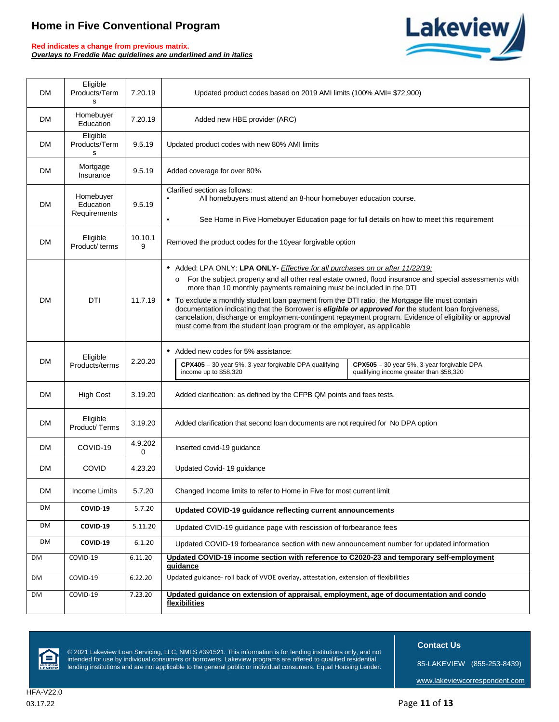**Red indicates a change from previous matrix.** *Overlays to Freddie Mac guidelines are underlined and in italics*



| <b>DM</b> | Eligible<br>Products/Term<br>s         | 7.20.19      | Updated product codes based on 2019 AMI limits (100% AMI= \$72,900)                                                                                                                                                                                                                                                     |
|-----------|----------------------------------------|--------------|-------------------------------------------------------------------------------------------------------------------------------------------------------------------------------------------------------------------------------------------------------------------------------------------------------------------------|
| <b>DM</b> | Homebuyer<br>Education                 | 7.20.19      | Added new HBE provider (ARC)                                                                                                                                                                                                                                                                                            |
| DM.       | Eligible<br>Products/Term<br>s         | 9.5.19       | Updated product codes with new 80% AMI limits                                                                                                                                                                                                                                                                           |
| <b>DM</b> | Mortgage<br>Insurance                  | 9.5.19       | Added coverage for over 80%                                                                                                                                                                                                                                                                                             |
| <b>DM</b> | Homebuyer<br>Education<br>Requirements | 9.5.19       | Clarified section as follows:<br>All homebuyers must attend an 8-hour homebuyer education course.                                                                                                                                                                                                                       |
|           |                                        |              | See Home in Five Homebuyer Education page for full details on how to meet this requirement<br>٠                                                                                                                                                                                                                         |
| <b>DM</b> | Eligible<br>Product/ terms             | 10.10.1<br>9 | Removed the product codes for the 10year forgivable option                                                                                                                                                                                                                                                              |
|           |                                        |              | • Added: LPA ONLY: LPA ONLY- Effective for all purchases on or after 11/22/19:                                                                                                                                                                                                                                          |
|           |                                        |              | For the subject property and all other real estate owned, flood insurance and special assessments with<br>о<br>more than 10 monthly payments remaining must be included in the DTI                                                                                                                                      |
| <b>DM</b> | DTI                                    | 11.7.19      | • To exclude a monthly student loan payment from the DTI ratio, the Mortgage file must contain<br>documentation indicating that the Borrower is <i>eligible or approved for</i> the student loan forgiveness,<br>cancelation, discharge or employment-contingent repayment program. Evidence of eligibility or approval |
|           |                                        |              | must come from the student loan program or the employer, as applicable                                                                                                                                                                                                                                                  |
|           | Eligible                               |              | • Added new codes for 5% assistance:                                                                                                                                                                                                                                                                                    |
| <b>DM</b> | Products/terms                         | 2.20.20      | CPX405 - 30 year 5%, 3-year forgivable DPA qualifying<br>CPX505 - 30 year 5%, 3-year forgivable DPA<br>income up to \$58,320<br>qualifying income greater than \$58,320                                                                                                                                                 |
| <b>DM</b> | <b>High Cost</b>                       | 3.19.20      | Added clarification: as defined by the CFPB QM points and fees tests.                                                                                                                                                                                                                                                   |
| DM        | Eligible<br>Product/Terms              | 3.19.20      | Added clarification that second loan documents are not required for No DPA option                                                                                                                                                                                                                                       |
| <b>DM</b> | COVID-19                               | 4.9.202<br>0 | Inserted covid-19 guidance                                                                                                                                                                                                                                                                                              |
| <b>DM</b> | <b>COVID</b>                           | 4.23.20      | Updated Covid-19 guidance                                                                                                                                                                                                                                                                                               |
| DM        | <b>Income Limits</b>                   | 5.7.20       | Changed Income limits to refer to Home in Five for most current limit                                                                                                                                                                                                                                                   |
| DM        | COVID-19                               | 5.7.20       | Updated COVID-19 guidance reflecting current announcements                                                                                                                                                                                                                                                              |
| DM        | COVID-19                               | 5.11.20      | Updated CVID-19 quidance page with rescission of forbearance fees                                                                                                                                                                                                                                                       |
| DM        | COVID-19                               | 6.1.20       | Updated COVID-19 forbearance section with new announcement number for updated information                                                                                                                                                                                                                               |
| DM        | COVID-19                               | 6.11.20      | Updated COVID-19 income section with reference to C2020-23 and temporary self-employment<br><u>guidance</u>                                                                                                                                                                                                             |
| DM        | COVID-19                               | 6.22.20      | Updated guidance- roll back of VVOE overlay, attestation, extension of flexibilities                                                                                                                                                                                                                                    |
| DM        | COVID-19                               | 7.23.20      | Updated guidance on extension of appraisal, employment, age of documentation and condo<br>flexibilities                                                                                                                                                                                                                 |



© 2021 Lakeview Loan Servicing, LLC, NMLS #391521. This information is for lending institutions only, and not intended for use by individual consumers or borrowers. Lakeview programs are offered to qualified residential lending institutions and are not applicable to the general public or individual consumers. Equal Housing Lender.  **Contact Us**

85-LAKEVIEW (855-253-8439)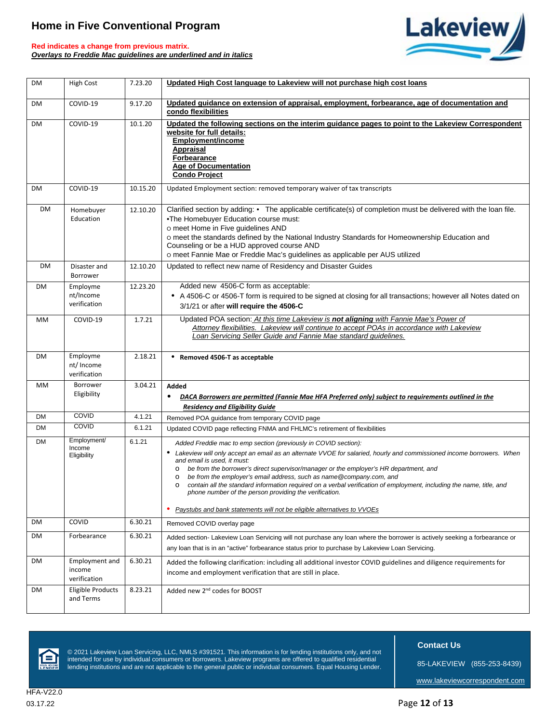



| DM        | <b>High Cost</b>                                | 7.23.20  | Updated High Cost language to Lakeview will not purchase high cost loans                                                                                                                                                                                                                                                                                                                                                                                                                                                                                                                                                                                                |
|-----------|-------------------------------------------------|----------|-------------------------------------------------------------------------------------------------------------------------------------------------------------------------------------------------------------------------------------------------------------------------------------------------------------------------------------------------------------------------------------------------------------------------------------------------------------------------------------------------------------------------------------------------------------------------------------------------------------------------------------------------------------------------|
| DM        | COVID-19                                        | 9.17.20  | Updated quidance on extension of appraisal, employment, forbearance, age of documentation and<br>condo flexibilities                                                                                                                                                                                                                                                                                                                                                                                                                                                                                                                                                    |
| DM        | COVID-19                                        | 10.1.20  | Updated the following sections on the interim guidance pages to point to the Lakeview Correspondent<br>website for full details:<br><b>Employment/income</b><br>Appraisal<br>Forbearance<br><b>Age of Documentation</b><br><b>Condo Project</b>                                                                                                                                                                                                                                                                                                                                                                                                                         |
| DM        | COVID-19                                        | 10.15.20 | Updated Employment section: removed temporary waiver of tax transcripts                                                                                                                                                                                                                                                                                                                                                                                                                                                                                                                                                                                                 |
| DM        | Homebuyer<br>Education                          | 12.10.20 | Clarified section by adding: • The applicable certificate(s) of completion must be delivered with the loan file.<br>.The Homebuyer Education course must:<br>o meet Home in Five guidelines AND<br>o meet the standards defined by the National Industry Standards for Homeownership Education and<br>Counseling or be a HUD approved course AND<br>o meet Fannie Mae or Freddie Mac's guidelines as applicable per AUS utilized                                                                                                                                                                                                                                        |
| <b>DM</b> | Disaster and<br>Borrower                        | 12.10.20 | Updated to reflect new name of Residency and Disaster Guides                                                                                                                                                                                                                                                                                                                                                                                                                                                                                                                                                                                                            |
| DM        | Employme<br>nt/Income<br>verification           | 12.23.20 | Added new 4506-C form as acceptable:<br>• A 4506-C or 4506-T form is required to be signed at closing for all transactions; however all Notes dated on<br>3/1/21 or after will require the 4506-C                                                                                                                                                                                                                                                                                                                                                                                                                                                                       |
| MМ        | COVID-19                                        | 1.7.21   | Updated POA section: At this time Lakeview is not aligning with Fannie Mae's Power of<br>Attorney flexibilities. Lakeview will continue to accept POAs in accordance with Lakeview<br>Loan Servicing Seller Guide and Fannie Mae standard guidelines.                                                                                                                                                                                                                                                                                                                                                                                                                   |
| DM        | Employme<br>nt/Income<br>verification           | 2.18.21  | • Removed 4506-T as acceptable                                                                                                                                                                                                                                                                                                                                                                                                                                                                                                                                                                                                                                          |
| MМ        | Borrower                                        | 3.04.21  | Added                                                                                                                                                                                                                                                                                                                                                                                                                                                                                                                                                                                                                                                                   |
|           | Eligibility                                     |          | DACA Borrowers are permitted (Fannie Mae HFA Preferred only) subject to requirements outlined in the<br>٠<br><b>Residency and Eligibility Guide</b>                                                                                                                                                                                                                                                                                                                                                                                                                                                                                                                     |
| DM        | COVID                                           | 4.1.21   |                                                                                                                                                                                                                                                                                                                                                                                                                                                                                                                                                                                                                                                                         |
| DM        | COVID                                           | 6.1.21   | Removed POA guidance from temporary COVID page<br>Updated COVID page reflecting FNMA and FHLMC's retirement of flexibilities                                                                                                                                                                                                                                                                                                                                                                                                                                                                                                                                            |
| DM        | Employment/<br>Income<br>Eligibility            | 6.1.21   | Added Freddie mac to emp section (previously in COVID section):<br>• Lakeview will only accept an email as an alternate VVOE for salaried, hourly and commissioned income borrowers. When<br>and email is used, it must:<br>be from the borrower's direct supervisor/manager or the employer's HR department, and<br>о<br>be from the employer's email address, such as name@company.com, and<br>$\circ$<br>o contain all the standard information required on a verbal verification of employment, including the name, title, and<br>phone number of the person providing the verification.<br>Paystubs and bank statements will not be eligible alternatives to VVOEs |
| DM        | COVID                                           | 6.30.21  | Removed COVID overlay page                                                                                                                                                                                                                                                                                                                                                                                                                                                                                                                                                                                                                                              |
| DM        | Forbearance                                     | 6.30.21  | Added section- Lakeview Loan Servicing will not purchase any loan where the borrower is actively seeking a forbearance or<br>any loan that is in an "active" forbearance status prior to purchase by Lakeview Loan Servicing.                                                                                                                                                                                                                                                                                                                                                                                                                                           |
| DM        | <b>Employment and</b><br>income<br>verification | 6.30.21  | Added the following clarification: including all additional investor COVID guidelines and diligence requirements for<br>income and employment verification that are still in place.                                                                                                                                                                                                                                                                                                                                                                                                                                                                                     |



© 2021 Lakeview Loan Servicing, LLC, NMLS #391521. This information is for lending institutions only, and not intended for use by individual consumers or borrowers. Lakeview programs are offered to qualified residential lending institutions and are not applicable to the general public or individual consumers. Equal Housing Lender.  **Contact Us**

85-LAKEVIEW (855-253-8439)